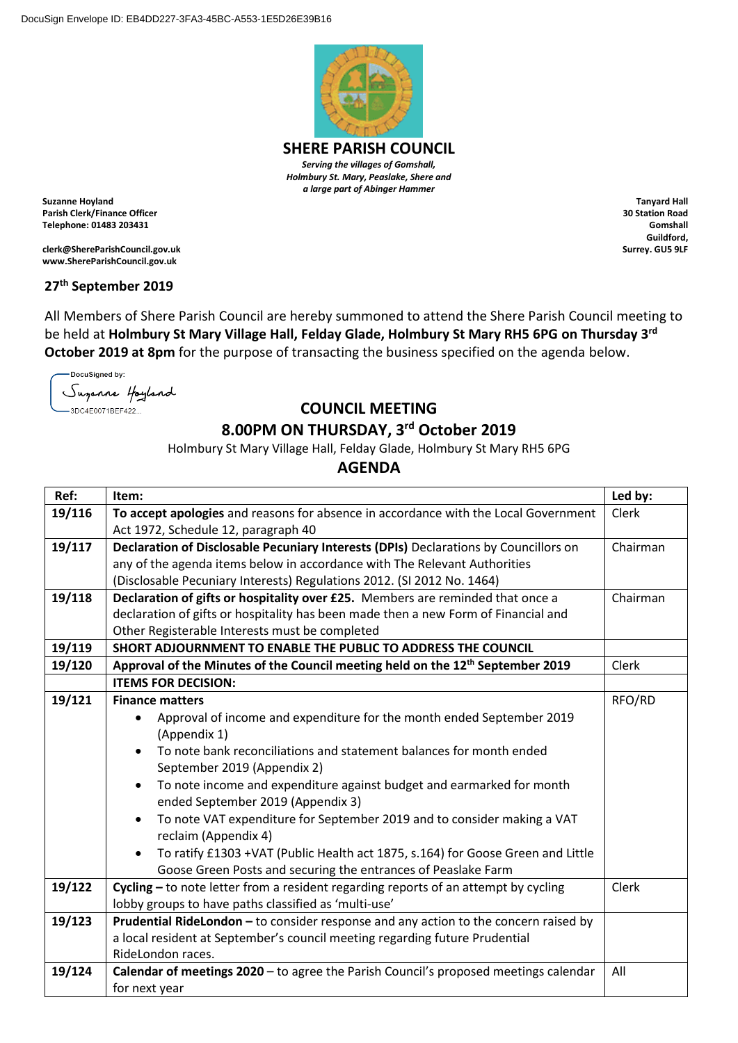

**SHERE PARISH COUNCIL** *Serving the villages of Gomshall, Holmbury St. Mary, Peaslake, Shere and a large part of Abinger Hammer*

**Suzanne Hoyland Parish Clerk/Finance Officer Telephone: 01483 203431**

**clerk@ShereParishCouncil.gov.uk www.ShereParishCouncil.gov.uk**

## **27th September 2019**

All Members of Shere Parish Council are hereby summoned to attend the Shere Parish Council meeting to be held at **Holmbury St Mary Village Hall, Felday Glade, Holmbury St Mary RH5 6PG on Thursday 3 rd October 2019 at 8pm** for the purpose of transacting the business specified on the agenda below.

DocuSigned by: Suganne Hoyland -3DC4E0071BEF422...

## **COUNCIL MEETING**

## **8.00PM ON THURSDAY, 3 rd October 2019**

Holmbury St Mary Village Hall, Felday Glade, Holmbury St Mary RH5 6PG

**AGENDA**

| Ref:   | Item:                                                                                      | Led by:  |
|--------|--------------------------------------------------------------------------------------------|----------|
| 19/116 | To accept apologies and reasons for absence in accordance with the Local Government        | Clerk    |
|        | Act 1972, Schedule 12, paragraph 40                                                        |          |
| 19/117 | Declaration of Disclosable Pecuniary Interests (DPIs) Declarations by Councillors on       | Chairman |
|        | any of the agenda items below in accordance with The Relevant Authorities                  |          |
|        | (Disclosable Pecuniary Interests) Regulations 2012. (SI 2012 No. 1464)                     |          |
| 19/118 | Declaration of gifts or hospitality over £25. Members are reminded that once a             | Chairman |
|        | declaration of gifts or hospitality has been made then a new Form of Financial and         |          |
|        | Other Registerable Interests must be completed                                             |          |
| 19/119 | SHORT ADJOURNMENT TO ENABLE THE PUBLIC TO ADDRESS THE COUNCIL                              |          |
| 19/120 | Approval of the Minutes of the Council meeting held on the 12 <sup>th</sup> September 2019 | Clerk    |
|        | <b>ITEMS FOR DECISION:</b>                                                                 |          |
| 19/121 | <b>Finance matters</b>                                                                     | RFO/RD   |
|        | Approval of income and expenditure for the month ended September 2019                      |          |
|        | (Appendix 1)                                                                               |          |
|        | To note bank reconciliations and statement balances for month ended                        |          |
|        | September 2019 (Appendix 2)                                                                |          |
|        | To note income and expenditure against budget and earmarked for month                      |          |
|        | ended September 2019 (Appendix 3)                                                          |          |
|        | To note VAT expenditure for September 2019 and to consider making a VAT                    |          |
|        | reclaim (Appendix 4)                                                                       |          |
|        | To ratify £1303 +VAT (Public Health act 1875, s.164) for Goose Green and Little            |          |
|        | Goose Green Posts and securing the entrances of Peaslake Farm                              |          |
| 19/122 | Cycling - to note letter from a resident regarding reports of an attempt by cycling        | Clerk    |
|        | lobby groups to have paths classified as 'multi-use'                                       |          |
| 19/123 | Prudential RideLondon - to consider response and any action to the concern raised by       |          |
|        | a local resident at September's council meeting regarding future Prudential                |          |
|        | RideLondon races.                                                                          |          |
| 19/124 | Calendar of meetings 2020 - to agree the Parish Council's proposed meetings calendar       | All      |
|        | for next year                                                                              |          |

**Tanyard Hall 30 Station Road Gomshall Guildford, Surrey. GU5 9LF**